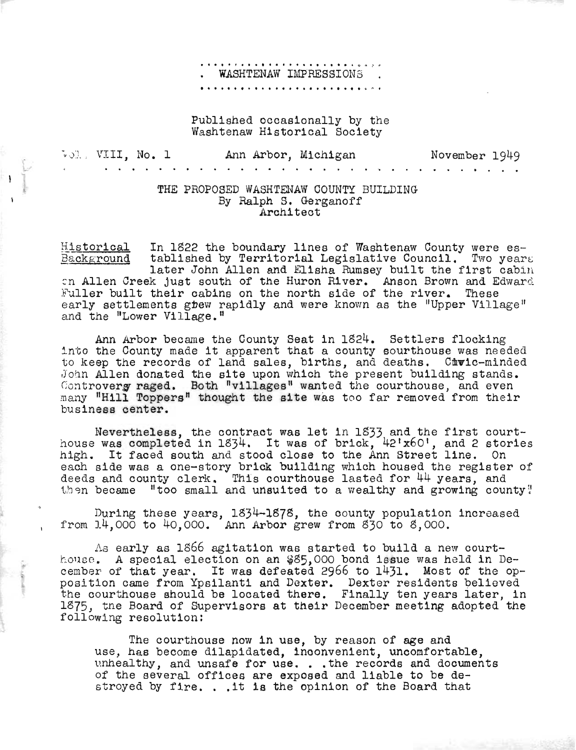## **•••••• •••• ••••• ••••••• 'O (>, .. <sup>r</sup>** . WASHTENAW IMPRESSIONS .<br>•••••••••••••••••••••••••••••••

## Published occasionally by the Washtenaw Historical Society

Vol. VIII, No. 1 Ann Arbor, Michigan November 1949

## THE PROPOSED WASHTENAW COUNTY BUILDING By Ralph S. Gerganoff Architect

Kistorical Background In 1822 the boundary lines of Washtenaw County were established by Territorial Legislative Council. Two years later John Allen and Elisha Rumsey bu11t the first cabin In Allen Creek just south of the Huron River. Anson Brown and Edward Fuller built their cabins on the north side of the river. These early settlements grew rapidly and were known as the "Upper Village" and the "Lower Village."

Ann Arbor became the County Seat in 1824. Settlers flocking<br>into the County made it apparent that a county sourthouse was needed<br>to keep the records of land sales, births, and deaths. Curic-minded to keep the records of land sales, births, and deaths. Civic-minded John Allen donated the site upon which the present building stands. Controverg raged. Both "villages" wanted the courthouse, and even many "Hill Toppers" thought the site was too far removed from their business center.

Nevertheless, the contract was let in 1833 and the first courthouse was completed in 1834. It was of brick, *42'x60',* and 2 stories house was completed in 1894. It was of brick, 42 x00 , and 2 stol each side was a one-story brick building which housed the register of deeds and county clerk. This courthouse lasted for 44 years, and then became "too small and unsuited to a wealthy and growing county!

During these years, 1834-l878, the county population increased from 14,000 to 40,000. Ann Arbor grew from 830 to 8,000.

As early as 1866 agitation was started to build a new courthouse. A special election on an \$85,000 bond issue was held in De-<br>cember of that year. It was defeated 2966 to 1431. Most of the opcember of that year. It was defeated 2966 to 1431. Most of the op-<br>position came from Ypsilanti and Dexter. Dexter residents believed the courthouse should be located there. Finally ten years later, in 1875, the Board of Supervisors at their December meeting adopted the following resolution:

The courthouse now in use, by reason of age and The courthouse now in use, by reason of age and<br>use, has become dilapidated, inconvenient, uncomfortable,<br>unhealthy, and unsafe for use...the records and documents unhealthy, and unsafe for use. . . the records and documents of the several offices are exposed and liable to be de-<br>stroyed by fire. . .it is the opinion of the Board that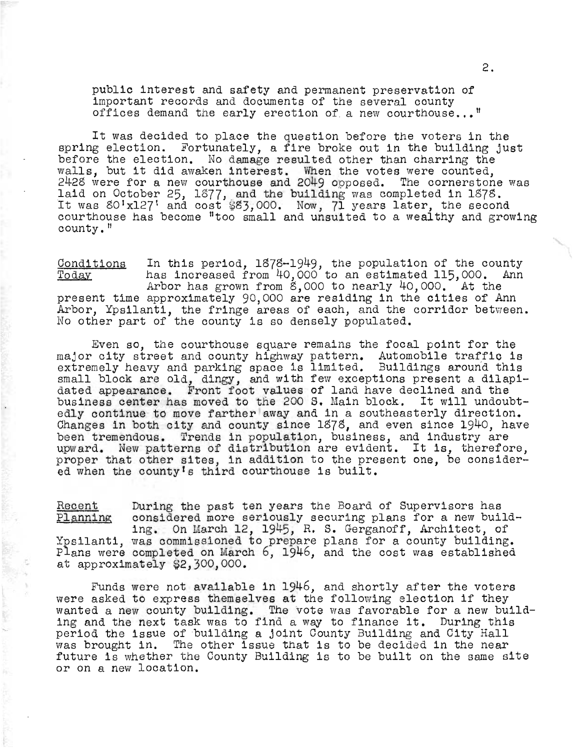public interest and safety and permanent preservation of important records and documents of the several county offices demand the early erection of a new courthouse..."

It was decided to place the question before the voters in the spring election. Fortunately, a fire broke out in the building just before the election. No damage resulted other than charring the walls, but it did awaken interest. When the votes were counted,  $2428$  were for a new courthouse and 2049 opposed. The cornerstone was  $\epsilon$ -20 were for a new courthouse and 2049 opposed. The cornerstone<br>laid on October 25, 1377, and the building was completed in 1378. Laid on October 25, 18/7, and the building was completed in 18/8.<br>It was 80'x127' and cost \$83,000. Now, 71 years later, the second courthouse has become "too small and unsuited to a wealthy and growing county."

Conditions Today In this period,  $1878-1949$ , the population of the county has increased from 40,000 to an estimated 115,000. Ann has increased from 40,000 to an estimated 115,000. Ann<br>Arbor has grown from 8,000 to nearly 40,000. At the present time approximately 90,000 are residing in the cities of Ann Arbor, Ypsilanti, the fringe areas of each, and the corridor between. No other part of the county is so densely populated.

Even so, the courthouse square remains the focal point for the major city street and county highway pattern. Automobile traffic is extremely heavy and parking space is limited. Buildings around this small block are old, dingy, and with few exceptions present a dilapidated appearance. Front foot values of land have declined and the business center has moved to tne 200 S. Main block. It will undoubtedly continue to move farther away and in a southeasterly direction. Changes in both city and county since 1878, and even since 1940, have been tremendous. Trends in population, business, and industry are upward. New patterns of distribution are evident. It is, therefore, proper that other sites, in addition to the present one, be considered when the county's third courthouse is built.

Recent Planning During the past ten years the Board of Supervisors has considered more seriously securing plans for a new building. On March 12, 1945, R. s. Gerganoff, Architect, of Ypsilanti, was commissioned to prepare plans for a county building. Plans were completed on March 6, 1946, and the cost was established at approximately \$2,300,000.

Funds were not available in 1946, and shortly after the voters were asked to express themselves at the following election if they wanted a new county building. The vote was favorable for a new building and the next task was to find a way to finance it. During this period the issue of building a Joint County Building and City Hall was Drought in. The other issue that is to be decided in the near future is whether the County Building is to be built on the same site or on a new location.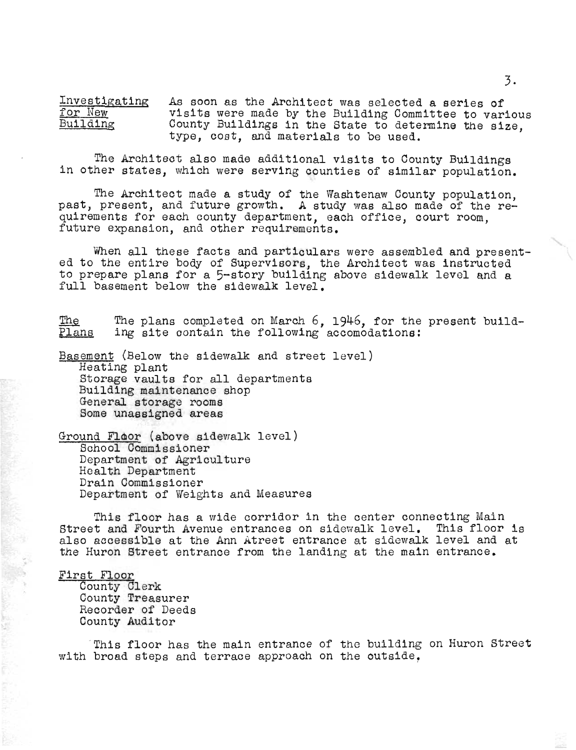Investigating for New<br>Building As soon as the Architect was selected a series of visits were made by the Building Committee to various County Buildings in the State to determine the size, type, cost, and materials to be used.

The Architect also made additional visits to County Buildings in other states, which were serving counties of similar population.

The Architect made a study of the Washtenaw County population, ine Architect made a study of the washtenaw county population,<br>past, present, and future growth. A study was also made of the requirements for each county department, each office, court room, future expansion, and other requirements.

'Iilien all these facts and particulars were assembled and present- ed to the entire body of Supervisors, the Architect was instructed to prepare plans for a 5-story building above sidewalk level and a full basement below the sidewalk level.

The Plans The plans completed on March 6, 1946, for the present building site contain the following accomodations:

Basement (Below the sidewalk and street level) Heating plant Storage vaults for all departments Building maintenance shop General storage rooms Some unassigned areas

Ground Floor (above sidewalk level) School Commissioner Department of Agriculture Health Department Drain Commissioner Department of Weights and Measures

This floor has a wide corridor in the center connecting Main Street and Fourth Avenue entrances on sidewalk level. This floor is also accessible at the Ann Atreet entrance at sidewalk level and at the Huron Street entrance from the landing at the ma1n entrance.

First Floor

County Clerk County Treasurer Recorder of Deeds County Auditor

This floor has the main entrance of the building on Huron Street with broad steps and terrace approach on the outside.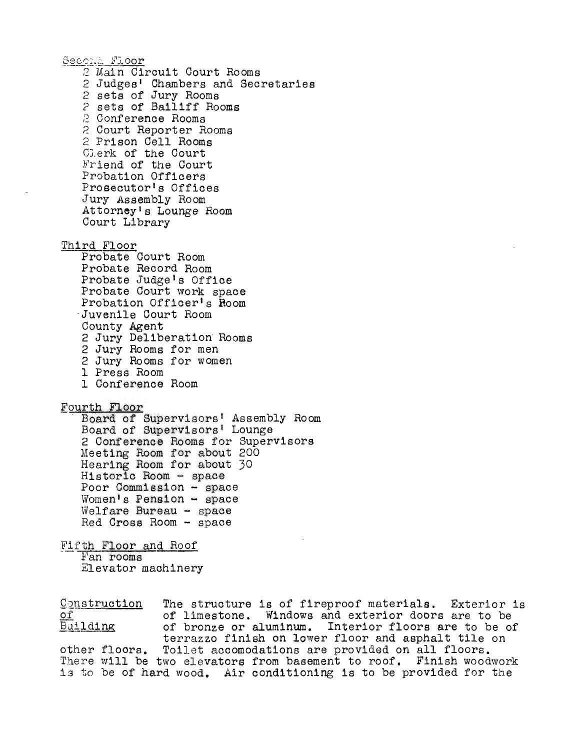Second Floor 2 Main Circuit Court Rooms 2 Judges<sup>1</sup> Chambers and Secretaries 2 sets of Jury Rooms 2 sets of Bailiff Rooms 2 Conference Rooms 2 Court Reporter Rooms 2 Prison Cell Rooms OJ. erk of the Court Friend of the Court Probation Officers Prosecutor's Offices Jury Assembly Room Attorney1s Lounge Room Court Library Third Floor Probate Court Room Probate Record Room Probate Judge1s Office Probate Court work space<br>Probation Officer's Room<br>Juvenile Court Room County Agent 2 Jury Deliberation· Rooms 2 Jury Rooms for men 2 Jury Rooms for women 1 Press Room I Conference Room Fourth Floor<br>- Board of Supervisors' Assembly Room Board of Supervisors' Lounge 2 Conference Rooms for Supervisors Meeting Room for about 200 Hearing Room for about 30 Historic Room - space Poor Commission - space Women's Pension  $-$  space Welfare Bureau - space Red Cross Room - space Fifth Floor and Roof<br>Fan rooms Elevator machinery Construction of The structure is of fireproof materials. Exterior is

Building of limestone. Windows and exterior doors are to be of bronze or aluminum. Interior floors are to be of terrazzo finish on lower floor and asphalt tile on other floors. Toilet accomodations are provided on all floors. There will be two elevators from basement to roof. Finish woodwork is to be of hard wood. Air conditioning is to be provided for the